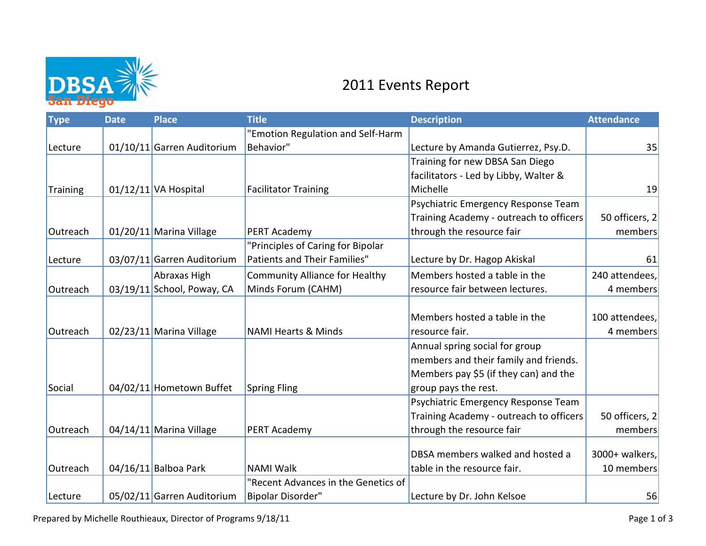

## 2011 Events Report

| <b>Type</b> | <b>Date</b> | <b>Place</b>               | <b>Title</b>                          | <b>Description</b>                      | <b>Attendance</b> |
|-------------|-------------|----------------------------|---------------------------------------|-----------------------------------------|-------------------|
|             |             |                            | "Emotion Regulation and Self-Harm     |                                         |                   |
| Lecture     |             | 01/10/11 Garren Auditorium | Behavior"                             | Lecture by Amanda Gutierrez, Psy.D.     | 35                |
|             |             |                            |                                       | Training for new DBSA San Diego         |                   |
|             |             |                            |                                       | facilitators - Led by Libby, Walter &   |                   |
| Training    |             | $01/12/11$ VA Hospital     | <b>Facilitator Training</b>           | Michelle                                | 19                |
|             |             |                            |                                       | Psychiatric Emergency Response Team     |                   |
|             |             |                            |                                       | Training Academy - outreach to officers | 50 officers, 2    |
| Outreach    |             | 01/20/11 Marina Village    | PERT Academy                          | through the resource fair               | members           |
|             |             |                            | "Principles of Caring for Bipolar     |                                         |                   |
| Lecture     |             | 03/07/11 Garren Auditorium | Patients and Their Families"          | Lecture by Dr. Hagop Akiskal            | 61                |
|             |             | Abraxas High               | <b>Community Alliance for Healthy</b> | Members hosted a table in the           | 240 attendees,    |
| Outreach    |             | 03/19/11 School, Poway, CA | Minds Forum (CAHM)                    | resource fair between lectures.         | 4 members         |
|             |             |                            |                                       |                                         |                   |
|             |             |                            |                                       | Members hosted a table in the           | 100 attendees,    |
| Outreach    |             | 02/23/11 Marina Village    | <b>NAMI Hearts &amp; Minds</b>        | resource fair.                          | 4 members         |
|             |             |                            |                                       | Annual spring social for group          |                   |
|             |             |                            |                                       | members and their family and friends.   |                   |
|             |             |                            |                                       | Members pay \$5 (if they can) and the   |                   |
| Social      |             | 04/02/11 Hometown Buffet   | <b>Spring Fling</b>                   | group pays the rest.                    |                   |
|             |             |                            |                                       | Psychiatric Emergency Response Team     |                   |
|             |             |                            |                                       | Training Academy - outreach to officers | 50 officers, 2    |
| Outreach    |             | 04/14/11 Marina Village    | PERT Academy                          | through the resource fair               | members           |
|             |             |                            |                                       |                                         |                   |
|             |             |                            |                                       | DBSA members walked and hosted a        | 3000+ walkers,    |
| Outreach    |             | $04/16/11$ Balboa Park     | <b>NAMI Walk</b>                      | table in the resource fair.             | 10 members        |
|             |             |                            | "Recent Advances in the Genetics of   |                                         |                   |
| Lecture     |             | 05/02/11 Garren Auditorium | <b>Bipolar Disorder"</b>              | Lecture by Dr. John Kelsoe              | 56                |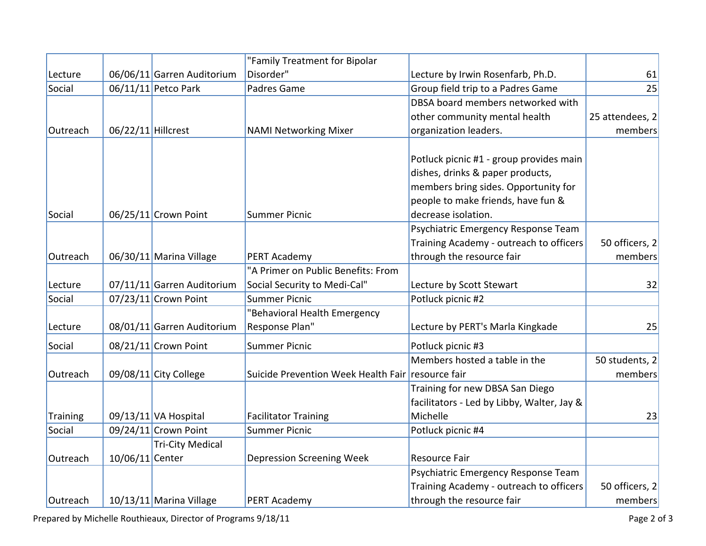|          |                    |                            | "Family Treatment for Bipolar                     |                                            |                 |
|----------|--------------------|----------------------------|---------------------------------------------------|--------------------------------------------|-----------------|
| Lecture  |                    | 06/06/11 Garren Auditorium | Disorder"                                         | Lecture by Irwin Rosenfarb, Ph.D.          | 61              |
| Social   |                    | 06/11/11 Petco Park        | Padres Game                                       | Group field trip to a Padres Game          | 25              |
|          |                    |                            |                                                   | DBSA board members networked with          |                 |
|          |                    |                            |                                                   | other community mental health              | 25 attendees, 2 |
| Outreach | 06/22/11 Hillcrest |                            | <b>NAMI Networking Mixer</b>                      | organization leaders.                      | members         |
|          |                    |                            |                                                   |                                            |                 |
|          |                    |                            |                                                   | Potluck picnic #1 - group provides main    |                 |
|          |                    |                            |                                                   | dishes, drinks & paper products,           |                 |
|          |                    |                            |                                                   | members bring sides. Opportunity for       |                 |
|          |                    |                            |                                                   | people to make friends, have fun &         |                 |
| Social   |                    | 06/25/11 Crown Point       | <b>Summer Picnic</b>                              | decrease isolation.                        |                 |
|          |                    |                            |                                                   | Psychiatric Emergency Response Team        |                 |
|          |                    |                            |                                                   | Training Academy - outreach to officers    | 50 officers, 2  |
| Outreach |                    | 06/30/11 Marina Village    | PERT Academy                                      | through the resource fair                  | members         |
|          |                    |                            | "A Primer on Public Benefits: From                |                                            |                 |
| Lecture  |                    | 07/11/11 Garren Auditorium | Social Security to Medi-Cal"                      | Lecture by Scott Stewart                   | 32              |
| Social   |                    | 07/23/11 Crown Point       | <b>Summer Picnic</b>                              | Potluck picnic #2                          |                 |
|          |                    |                            | "Behavioral Health Emergency                      |                                            |                 |
| Lecture  |                    | 08/01/11 Garren Auditorium | Response Plan"                                    | Lecture by PERT's Marla Kingkade           | 25              |
| Social   |                    | 08/21/11 Crown Point       | <b>Summer Picnic</b>                              | Potluck picnic #3                          |                 |
|          |                    |                            |                                                   | Members hosted a table in the              | 50 students, 2  |
| Outreach |                    | 09/08/11 City College      | Suicide Prevention Week Health Fair resource fair |                                            | members         |
|          |                    |                            |                                                   | Training for new DBSA San Diego            |                 |
|          |                    |                            |                                                   | facilitators - Led by Libby, Walter, Jay & |                 |
| Training |                    | 09/13/11 VA Hospital       | <b>Facilitator Training</b>                       | Michelle                                   | 23              |
| Social   |                    | 09/24/11 Crown Point       | <b>Summer Picnic</b>                              | Potluck picnic #4                          |                 |
|          |                    | <b>Tri-City Medical</b>    |                                                   |                                            |                 |
| Outreach | 10/06/11 Center    |                            | <b>Depression Screening Week</b>                  | Resource Fair                              |                 |
|          |                    |                            |                                                   | Psychiatric Emergency Response Team        |                 |
|          |                    |                            |                                                   | Training Academy - outreach to officers    | 50 officers, 2  |
| Outreach |                    | 10/13/11 Marina Village    | PERT Academy                                      | through the resource fair                  | members         |